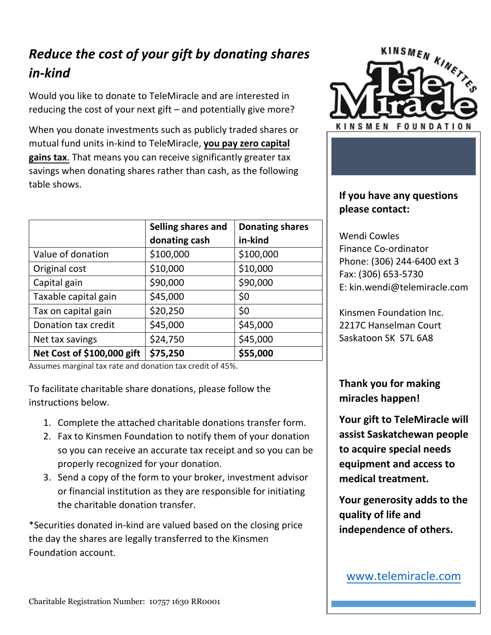## *Reduce the cost of your gift by donating shares in-kind*

Would you like to donate to TeleMiracle and are interested in reducing the cost of your next gift – and potentially give more?

When you donate investments such as publicly traded shares or mutual fund units in-kind to TeleMiracle, **you pay zero capital gains tax**. That means you can receive significantly greater tax savings when donating shares rather than cash, as the following table shows.

|                            | Selling shares and | <b>Donating shares</b> |
|----------------------------|--------------------|------------------------|
|                            | donating cash      | in-kind                |
| Value of donation          | \$100,000          | \$100,000              |
| Original cost              | \$10,000           | \$10,000               |
| Capital gain               | \$90,000           | \$90,000               |
| Taxable capital gain       | \$45,000           | \$0                    |
| Tax on capital gain        | \$20,250           | \$0                    |
| Donation tax credit        | \$45,000           | \$45,000               |
| Net tax savings            | \$24,750           | \$45,000               |
| Net Cost of \$100,000 gift | \$75,250           | \$55,000               |

Assumes marginal tax rate and donation tax credit of 45%.

To facilitate charitable share donations, please follow the instructions below.

- 1. Complete the attached charitable donations transfer form.
- 2. Fax to Kinsmen Foundation to notify them of your donation so you can receive an accurate tax receipt and so you can be properly recognized for your donation.
- 3. Send a copy of the form to your broker, investment advisor or financial institution as they are responsible for initiating the charitable donation transfer.

\*Securities donated in-kind are valued based on the closing price the day the shares are legally transferred to the Kinsmen Foundation account.



## **If you have any questions please contact:**

Wendi Cowles Finance Co-ordinator Phone: (306) 244-6400 ext 3 Fax: (306) 653-5730 E: kin.wendi@telemiracle.com

Kinsmen Foundation Inc. 2217C Hanselman Court Saskatoon SK S7L 6A8

**Thank you for making miracles happen!** 

**Your gift to TeleMiracle will assist Saskatchewan people to acquire special needs equipment and access to medical treatment.** 

**Your generosity adds to the quality of life and independence of others.** 

[www.telemiracle.com](http://www.telemiracle.com/)